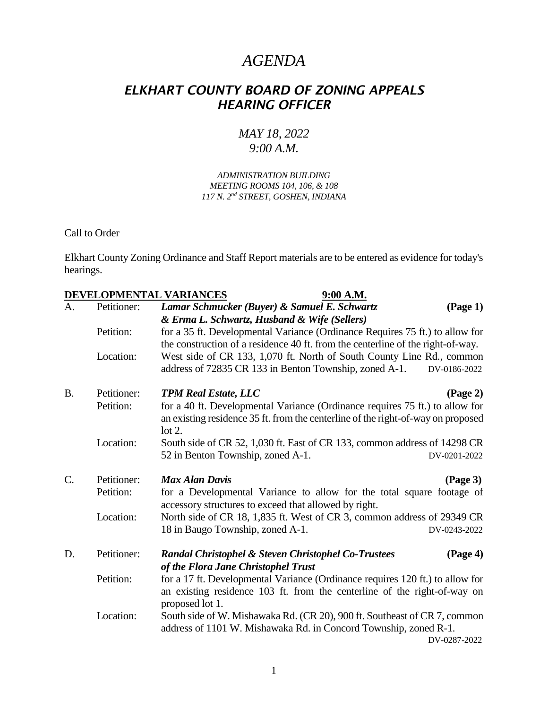## *AGENDA*

## *ELKHART COUNTY BOARD OF ZONING APPEALS HEARING OFFICER*

## *MAY 18, 2022 9:00 A.M.*

## *ADMINISTRATION BUILDING MEETING ROOMS 104, 106, & 108 117 N. 2nd STREET, GOSHEN, INDIANA*

Call to Order

Elkhart County Zoning Ordinance and Staff Report materials are to be entered as evidence for today's hearings.

|                 |             | DEVELOPMENTAL VARIANCES<br>9:00 A.M.                                                                                                                                           |
|-----------------|-------------|--------------------------------------------------------------------------------------------------------------------------------------------------------------------------------|
| A.              | Petitioner: | Lamar Schmucker (Buyer) & Samuel E. Schwartz<br>(Page 1)<br>& Erma L. Schwartz, Husband & Wife (Sellers)                                                                       |
|                 | Petition:   | for a 35 ft. Developmental Variance (Ordinance Requires 75 ft.) to allow for<br>the construction of a residence 40 ft. from the centerline of the right-of-way.                |
|                 | Location:   | West side of CR 133, 1,070 ft. North of South County Line Rd., common<br>address of 72835 CR 133 in Benton Township, zoned A-1.<br>DV-0186-2022                                |
| <b>B.</b>       | Petitioner: | <b>TPM Real Estate, LLC</b><br>(Page 2)                                                                                                                                        |
|                 | Petition:   | for a 40 ft. Developmental Variance (Ordinance requires 75 ft.) to allow for<br>an existing residence 35 ft. from the centerline of the right-of-way on proposed<br>$\cot 2$ . |
|                 | Location:   | South side of CR 52, 1,030 ft. East of CR 133, common address of 14298 CR<br>52 in Benton Township, zoned A-1.<br>DV-0201-2022                                                 |
|                 |             |                                                                                                                                                                                |
| $\mathcal{C}$ . | Petitioner: | <b>Max Alan Davis</b><br>$\left(\text{Page } 3\right)$                                                                                                                         |
|                 | Petition:   | for a Developmental Variance to allow for the total square footage of<br>accessory structures to exceed that allowed by right.                                                 |
|                 | Location:   | North side of CR 18, 1,835 ft. West of CR 3, common address of 29349 CR                                                                                                        |
|                 |             | 18 in Baugo Township, zoned A-1.<br>DV-0243-2022                                                                                                                               |
| D.              | Petitioner: | (Page 4)<br><b>Randal Christophel &amp; Steven Christophel Co-Trustees</b><br>of the Flora Jane Christophel Trust                                                              |
|                 | Petition:   | for a 17 ft. Developmental Variance (Ordinance requires 120 ft.) to allow for<br>an existing residence 103 ft. from the centerline of the right-of-way on<br>proposed lot 1.   |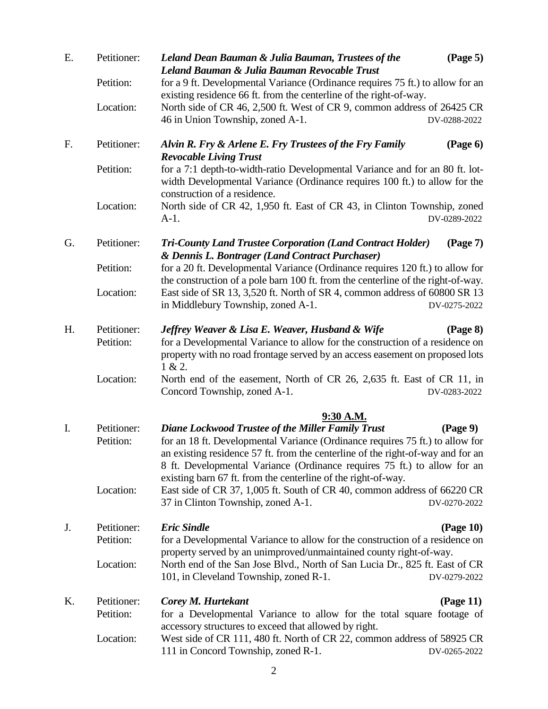| E. | Petitioner:                           | $(\text{Page } 5)$<br>Leland Dean Bauman & Julia Bauman, Trustees of the<br>Leland Bauman & Julia Bauman Revocable Trust                                                                                                                                                                                                                                                                                                                                                                                                                       |  |  |  |
|----|---------------------------------------|------------------------------------------------------------------------------------------------------------------------------------------------------------------------------------------------------------------------------------------------------------------------------------------------------------------------------------------------------------------------------------------------------------------------------------------------------------------------------------------------------------------------------------------------|--|--|--|
|    | Petition:                             | for a 9 ft. Developmental Variance (Ordinance requires 75 ft.) to allow for an<br>existing residence 66 ft. from the centerline of the right-of-way.                                                                                                                                                                                                                                                                                                                                                                                           |  |  |  |
|    | Location:                             | North side of CR 46, 2,500 ft. West of CR 9, common address of 26425 CR<br>46 in Union Township, zoned A-1.<br>DV-0288-2022                                                                                                                                                                                                                                                                                                                                                                                                                    |  |  |  |
| F. | Petitioner:                           | Alvin R. Fry & Arlene E. Fry Trustees of the Fry Family<br>$(\text{Page } 6)$<br><b>Revocable Living Trust</b>                                                                                                                                                                                                                                                                                                                                                                                                                                 |  |  |  |
|    | Petition:                             | for a 7:1 depth-to-width-ratio Developmental Variance and for an 80 ft. lot-<br>width Developmental Variance (Ordinance requires 100 ft.) to allow for the<br>construction of a residence.                                                                                                                                                                                                                                                                                                                                                     |  |  |  |
|    | Location:                             | North side of CR 42, 1,950 ft. East of CR 43, in Clinton Township, zoned<br>$A-1.$<br>DV-0289-2022                                                                                                                                                                                                                                                                                                                                                                                                                                             |  |  |  |
| G. | Petitioner:                           | <b>Tri-County Land Trustee Corporation (Land Contract Holder)</b><br>(Page 7)<br>& Dennis L. Bontrager (Land Contract Purchaser)                                                                                                                                                                                                                                                                                                                                                                                                               |  |  |  |
|    | Petition:                             | for a 20 ft. Developmental Variance (Ordinance requires 120 ft.) to allow for<br>the construction of a pole barn 100 ft. from the centerline of the right-of-way.                                                                                                                                                                                                                                                                                                                                                                              |  |  |  |
|    | Location:                             | East side of SR 13, 3,520 ft. North of SR 4, common address of 60800 SR 13<br>in Middlebury Township, zoned A-1.<br>DV-0275-2022                                                                                                                                                                                                                                                                                                                                                                                                               |  |  |  |
| H. | Petitioner:<br>Petition:              | Jeffrey Weaver & Lisa E. Weaver, Husband & Wife<br>(Page 8)<br>for a Developmental Variance to allow for the construction of a residence on<br>property with no road frontage served by an access easement on proposed lots<br>1 & 2.                                                                                                                                                                                                                                                                                                          |  |  |  |
|    | Location:                             | North end of the easement, North of CR 26, 2,635 ft. East of CR 11, in<br>Concord Township, zoned A-1.<br>DV-0283-2022                                                                                                                                                                                                                                                                                                                                                                                                                         |  |  |  |
| I. | Petitioner:<br>Petition:<br>Location: | 9:30 A.M.<br><b>Diane Lockwood Trustee of the Miller Family Trust</b><br>$(\text{Page } 9)$<br>for an 18 ft. Developmental Variance (Ordinance requires 75 ft.) to allow for<br>an existing residence 57 ft. from the centerline of the right-of-way and for an<br>8 ft. Developmental Variance (Ordinance requires 75 ft.) to allow for an<br>existing barn 67 ft. from the centerline of the right-of-way.<br>East side of CR 37, 1,005 ft. South of CR 40, common address of 66220 CR<br>37 in Clinton Township, zoned A-1.<br>DV-0270-2022 |  |  |  |
|    |                                       |                                                                                                                                                                                                                                                                                                                                                                                                                                                                                                                                                |  |  |  |
| J. | Petitioner:<br>Petition:              | <b>Eric Sindle</b><br>(Page 10)<br>for a Developmental Variance to allow for the construction of a residence on<br>property served by an unimproved/unmaintained county right-of-way.                                                                                                                                                                                                                                                                                                                                                          |  |  |  |
|    | Location:                             | North end of the San Jose Blvd., North of San Lucia Dr., 825 ft. East of CR<br>101, in Cleveland Township, zoned R-1.<br>DV-0279-2022                                                                                                                                                                                                                                                                                                                                                                                                          |  |  |  |
| K. | Petitioner:                           | Corey M. Hurtekant<br>$\left(Page\ 11\right)$                                                                                                                                                                                                                                                                                                                                                                                                                                                                                                  |  |  |  |
|    | Petition:                             | for a Developmental Variance to allow for the total square footage of<br>accessory structures to exceed that allowed by right.                                                                                                                                                                                                                                                                                                                                                                                                                 |  |  |  |
|    | Location:                             | West side of CR 111, 480 ft. North of CR 22, common address of 58925 CR<br>111 in Concord Township, zoned R-1.<br>DV-0265-2022                                                                                                                                                                                                                                                                                                                                                                                                                 |  |  |  |